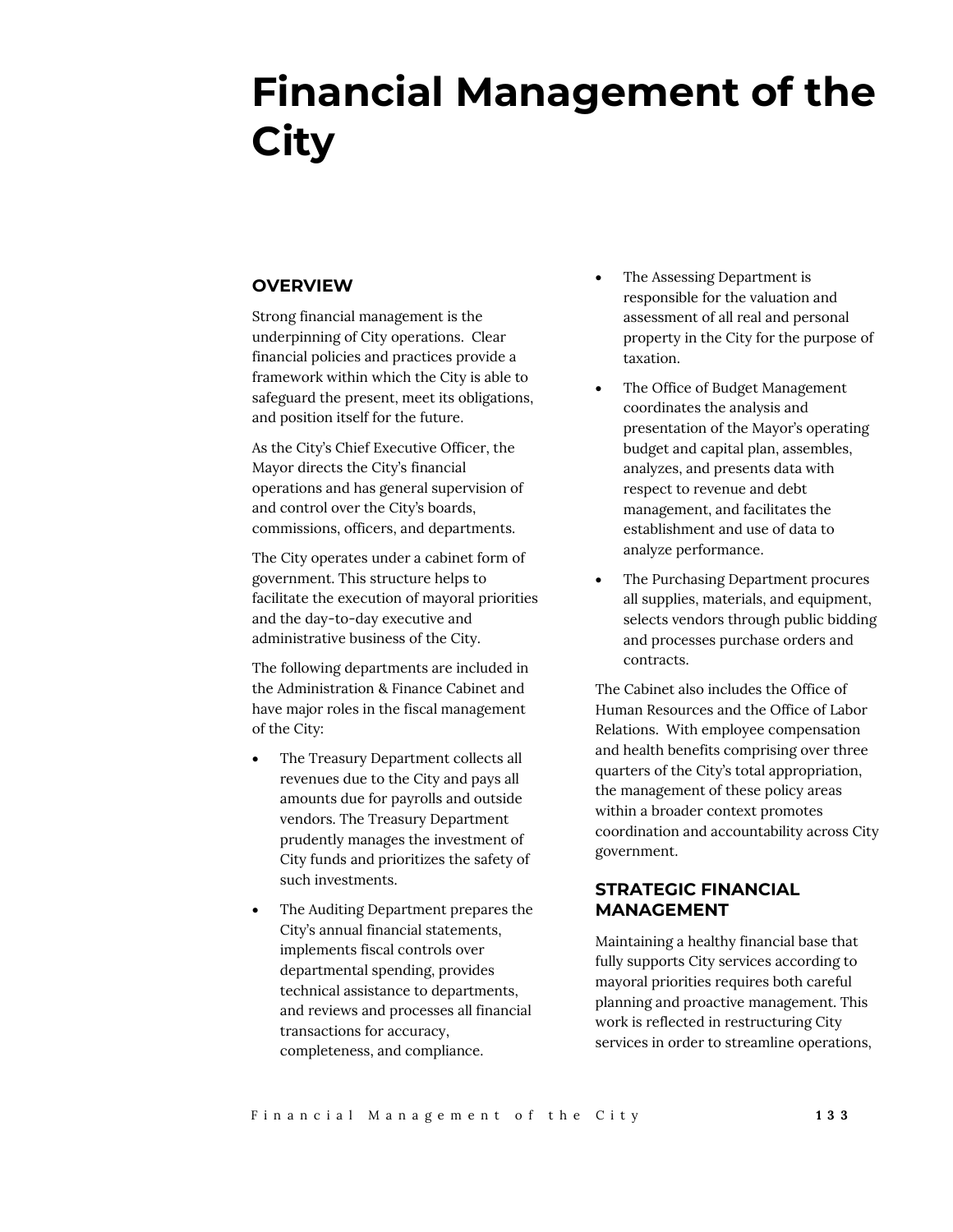# **Financial Management of the City**

## **OVERVIEW**

Strong financial management is the underpinning of City operations. Clear financial policies and practices provide a framework within which the City is able to safeguard the present, meet its obligations, and position itself for the future.

As the City's Chief Executive Officer, the Mayor directs the City's financial operations and has general supervision of and control over the City's boards, commissions, officers, and departments.

The City operates under a cabinet form of government. This structure helps to facilitate the execution of mayoral priorities and the day-to-day executive and administrative business of the City.

The following departments are included in the Administration & Finance Cabinet and have major roles in the fiscal management of the City:

- The Treasury Department collects all revenues due to the City and pays all amounts due for payrolls and outside vendors. The Treasury Department prudently manages the investment of City funds and prioritizes the safety of such investments.
- The Auditing Department prepares the City's annual financial statements, implements fiscal controls over departmental spending, provides technical assistance to departments, and reviews and processes all financial transactions for accuracy, completeness, and compliance.
- The Assessing Department is responsible for the valuation and assessment of all real and personal property in the City for the purpose of taxation.
- The Office of Budget Management coordinates the analysis and presentation of the Mayor's operating budget and capital plan, assembles, analyzes, and presents data with respect to revenue and debt management, and facilitates the establishment and use of data to analyze performance.
- The Purchasing Department procures all supplies, materials, and equipment, selects vendors through public bidding and processes purchase orders and contracts.

The Cabinet also includes the Office of Human Resources and the Office of Labor Relations. With employee compensation and health benefits comprising over three quarters of the City's total appropriation, the management of these policy areas within a broader context promotes coordination and accountability across City government.

## **STRATEGIC FINANCIAL MANAGEMENT**

Maintaining a healthy financial base that fully supports City services according to mayoral priorities requires both careful planning and proactive management. This work is reflected in restructuring City services in order to streamline operations,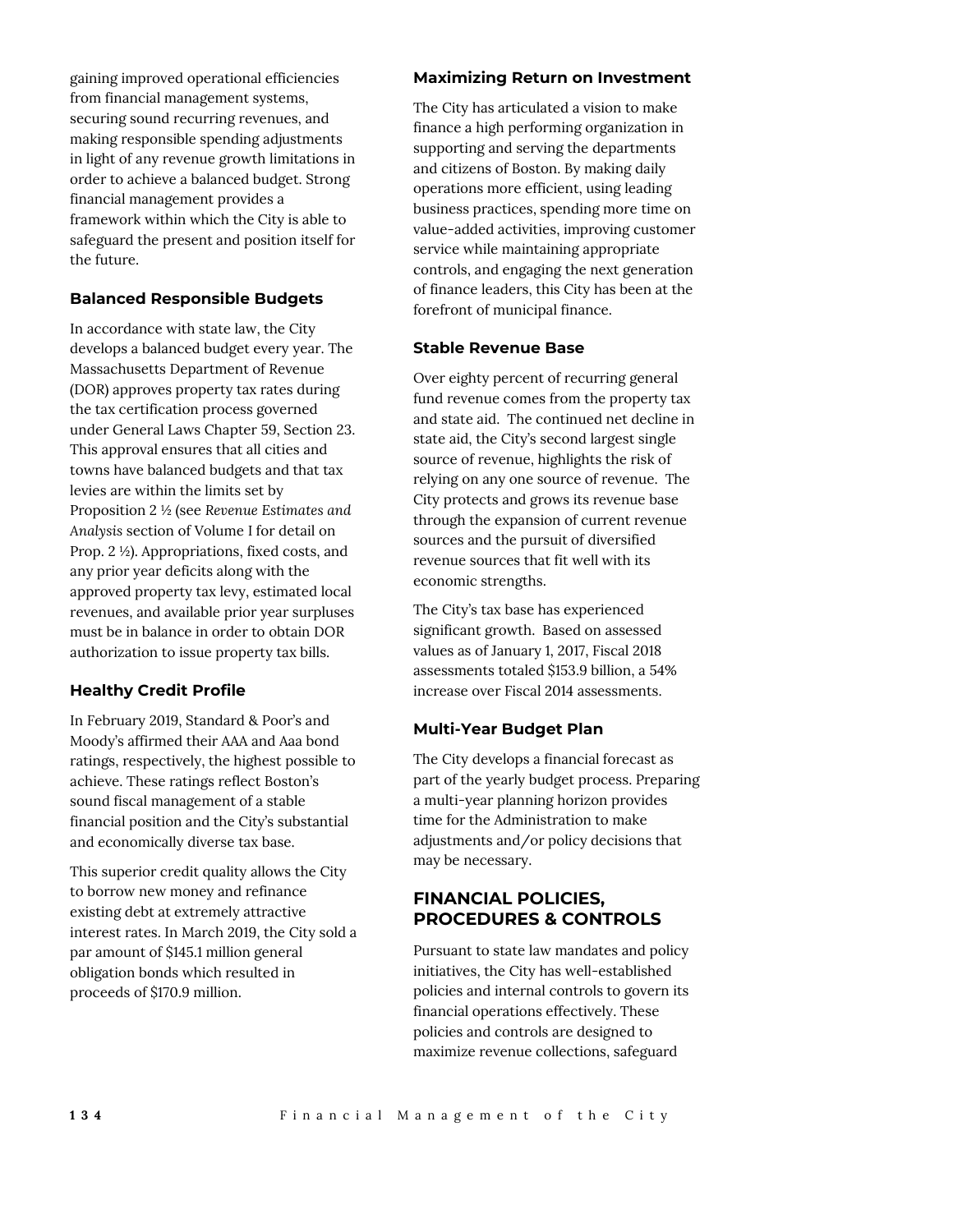gaining improved operational efficiencies from financial management systems, securing sound recurring revenues, and making responsible spending adjustments in light of any revenue growth limitations in order to achieve a balanced budget. Strong financial management provides a framework within which the City is able to safeguard the present and position itself for the future.

## **Balanced Responsible Budgets**

In accordance with state law, the City develops a balanced budget every year. The Massachusetts Department of Revenue (DOR) approves property tax rates during the tax certification process governed under General Laws Chapter 59, Section 23. This approval ensures that all cities and towns have balanced budgets and that tax levies are within the limits set by Proposition 2 ½ (see *Revenue Estimates and Analysis* section of Volume I for detail on Prop. 2 ½). Appropriations, fixed costs, and any prior year deficits along with the approved property tax levy, estimated local revenues, and available prior year surpluses must be in balance in order to obtain DOR authorization to issue property tax bills.

#### **Healthy Credit Profile**

In February 2019, Standard & Poor's and Moody's affirmed their AAA and Aaa bond ratings, respectively, the highest possible to achieve. These ratings reflect Boston's sound fiscal management of a stable financial position and the City's substantial and economically diverse tax base.

This superior credit quality allows the City to borrow new money and refinance existing debt at extremely attractive interest rates. In March 2019, the City sold a par amount of \$145.1 million general obligation bonds which resulted in proceeds of \$170.9 million.

#### **Maximizing Return on Investment**

The City has articulated a vision to make finance a high performing organization in supporting and serving the departments and citizens of Boston. By making daily operations more efficient, using leading business practices, spending more time on value-added activities, improving customer service while maintaining appropriate controls, and engaging the next generation of finance leaders, this City has been at the forefront of municipal finance.

#### **Stable Revenue Base**

Over eighty percent of recurring general fund revenue comes from the property tax and state aid. The continued net decline in state aid, the City's second largest single source of revenue, highlights the risk of relying on any one source of revenue. The City protects and grows its revenue base through the expansion of current revenue sources and the pursuit of diversified revenue sources that fit well with its economic strengths.

The City's tax base has experienced significant growth. Based on assessed values as of January 1, 2017, Fiscal 2018 assessments totaled \$153.9 billion, a 54% increase over Fiscal 2014 assessments.

#### **Multi-Year Budget Plan**

The City develops a financial forecast as part of the yearly budget process. Preparing a multi-year planning horizon provides time for the Administration to make adjustments and/or policy decisions that may be necessary.

## **FINANCIAL POLICIES, PROCEDURES & CONTROLS**

Pursuant to state law mandates and policy initiatives, the City has well-established policies and internal controls to govern its financial operations effectively. These policies and controls are designed to maximize revenue collections, safeguard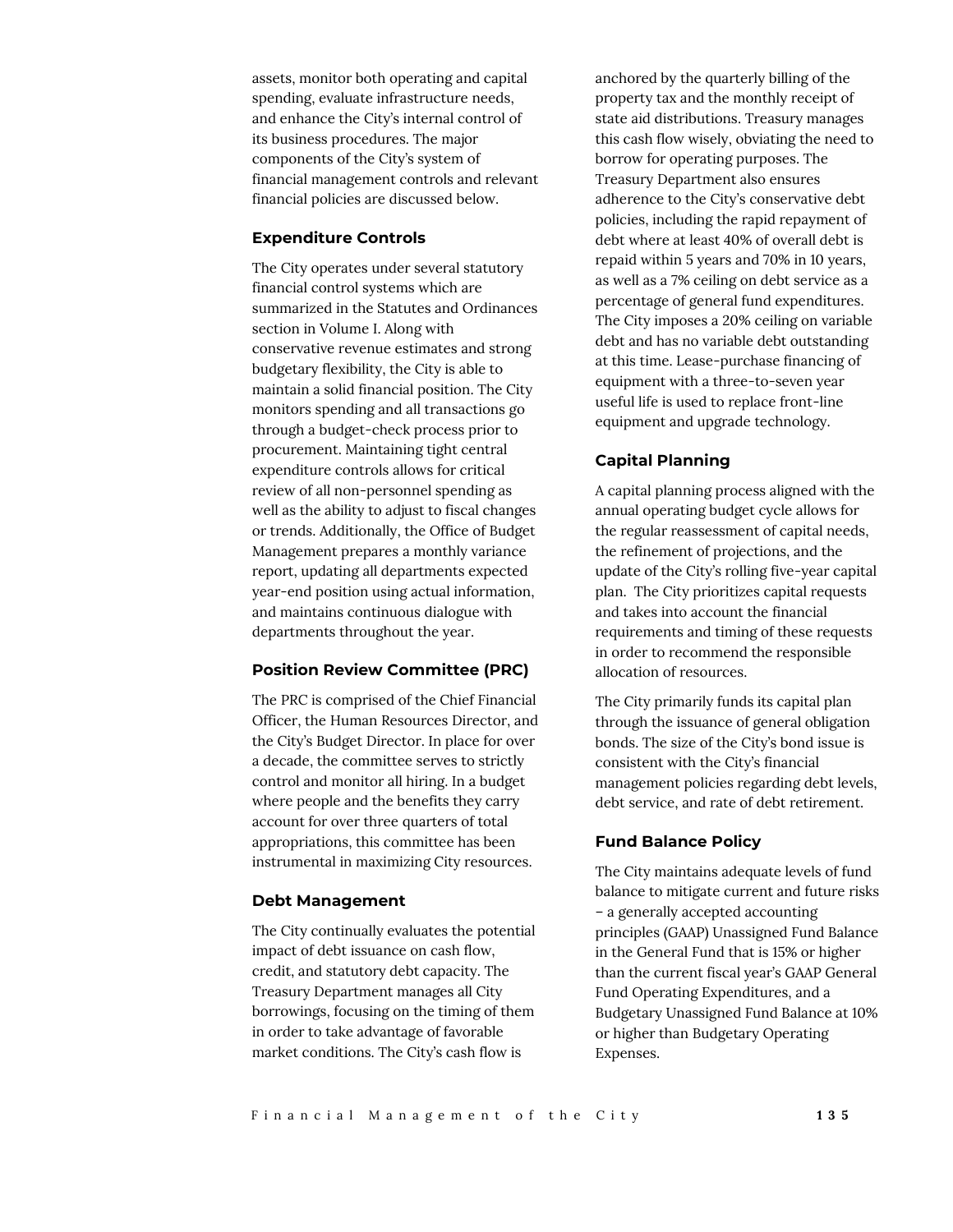assets, monitor both operating and capital spending, evaluate infrastructure needs, and enhance the City's internal control of its business procedures. The major components of the City's system of financial management controls and relevant financial policies are discussed below.

#### **Expenditure Controls**

The City operates under several statutory financial control systems which are summarized in the Statutes and Ordinances section in Volume I. Along with conservative revenue estimates and strong budgetary flexibility, the City is able to maintain a solid financial position. The City monitors spending and all transactions go through a budget-check process prior to procurement. Maintaining tight central expenditure controls allows for critical review of all non-personnel spending as well as the ability to adjust to fiscal changes or trends. Additionally, the Office of Budget Management prepares a monthly variance report, updating all departments expected year-end position using actual information, and maintains continuous dialogue with departments throughout the year.

### **Position Review Committee (PRC)**

The PRC is comprised of the Chief Financial Officer, the Human Resources Director, and the City's Budget Director. In place for over a decade, the committee serves to strictly control and monitor all hiring. In a budget where people and the benefits they carry account for over three quarters of total appropriations, this committee has been instrumental in maximizing City resources.

#### **Debt Management**

The City continually evaluates the potential impact of debt issuance on cash flow, credit, and statutory debt capacity. The Treasury Department manages all City borrowings, focusing on the timing of them in order to take advantage of favorable market conditions. The City's cash flow is

anchored by the quarterly billing of the property tax and the monthly receipt of state aid distributions. Treasury manages this cash flow wisely, obviating the need to borrow for operating purposes. The Treasury Department also ensures adherence to the City's conservative debt policies, including the rapid repayment of debt where at least 40% of overall debt is repaid within 5 years and 70% in 10 years, as well as a 7% ceiling on debt service as a percentage of general fund expenditures. The City imposes a 20% ceiling on variable debt and has no variable debt outstanding at this time. Lease-purchase financing of equipment with a three-to-seven year useful life is used to replace front-line equipment and upgrade technology.

#### **Capital Planning**

A capital planning process aligned with the annual operating budget cycle allows for the regular reassessment of capital needs, the refinement of projections, and the update of the City's rolling five-year capital plan. The City prioritizes capital requests and takes into account the financial requirements and timing of these requests in order to recommend the responsible allocation of resources.

The City primarily funds its capital plan through the issuance of general obligation bonds. The size of the City's bond issue is consistent with the City's financial management policies regarding debt levels, debt service, and rate of debt retirement.

#### **Fund Balance Policy**

The City maintains adequate levels of fund balance to mitigate current and future risks – a generally accepted accounting principles (GAAP) Unassigned Fund Balance in the General Fund that is 15% or higher than the current fiscal year's GAAP General Fund Operating Expenditures, and a Budgetary Unassigned Fund Balance at 10% or higher than Budgetary Operating Expenses.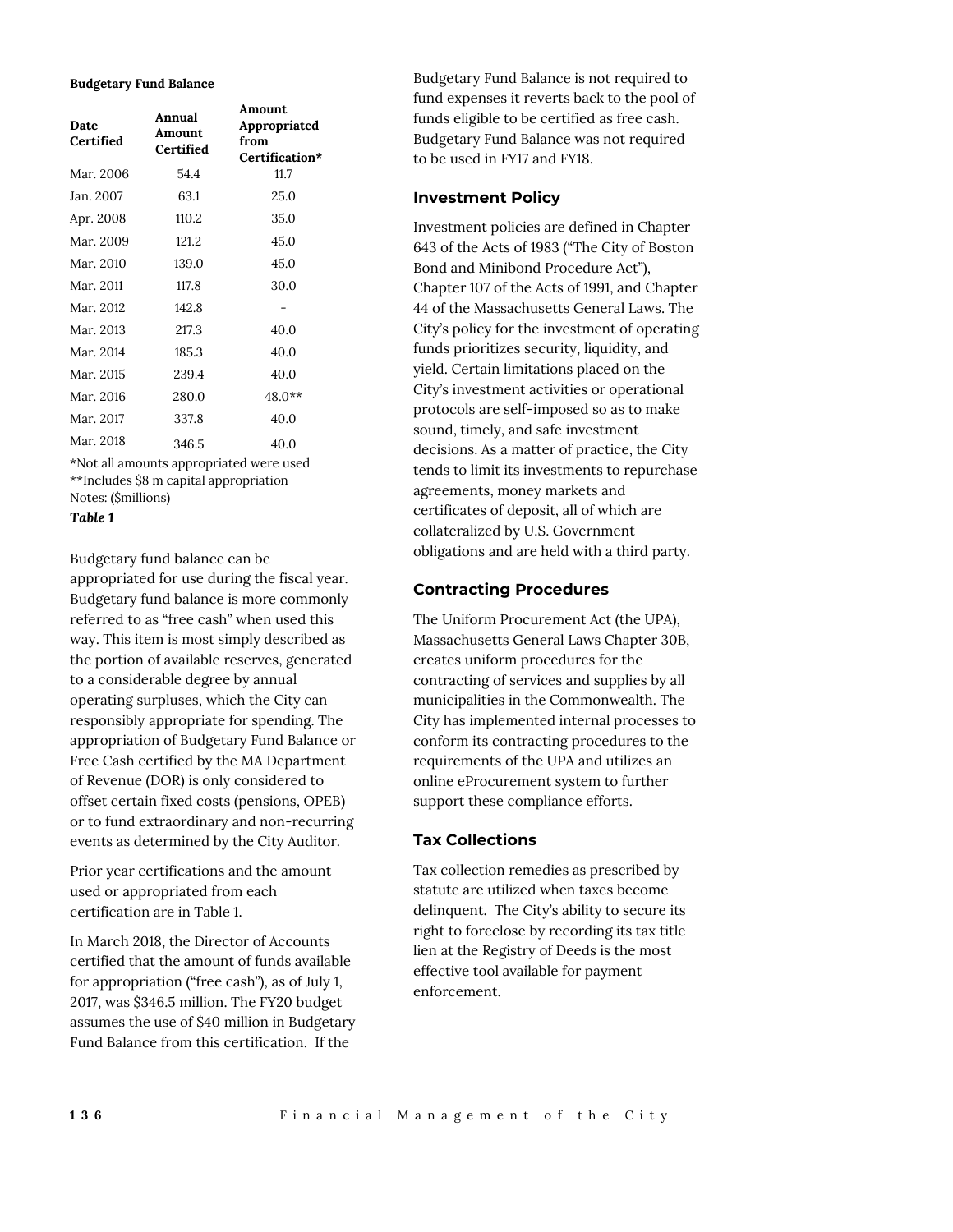#### **Budgetary Fund Balance**

| Date<br>Certified | Annual<br>Amount<br>Certified | Amount<br>Appropriated<br>from<br>Certification* |
|-------------------|-------------------------------|--------------------------------------------------|
| Mar. 2006         | 54.4                          | 11.7                                             |
| Jan. 2007         | 63.1                          | 25.0                                             |
| Apr. 2008         | 110.2                         | 35.0                                             |
| Mar. 2009         | 121.2                         | 45.0                                             |
| Mar. 2010         | 139.0                         | 45.0                                             |
| Mar. 2011         | 117.8                         | 30.0                                             |
| Mar. 2012         | 142.8                         |                                                  |
| Mar. 2013         | 217.3                         | 40.0                                             |
| Mar. 2014         | 185.3                         | 40.0                                             |
| Mar. 2015         | 239.4                         | 40.0                                             |
| Mar. 2016         | 280.0                         | 48.0**                                           |
| Mar. 2017         | 337.8                         | 40.0                                             |
| Mar. 2018         | 346.5                         | 40.0                                             |
| $-1.3 - 7 = -11$  |                               | $\cdot$ $\cdot$ $\cdot$ $\cdot$                  |

\*Not all amounts appropriated were used \*\*Includes \$8 m capital appropriation Notes: (\$millions)

*Table 1*

Budgetary fund balance can be appropriated for use during the fiscal year. Budgetary fund balance is more commonly referred to as "free cash" when used this way. This item is most simply described as the portion of available reserves, generated to a considerable degree by annual operating surpluses, which the City can responsibly appropriate for spending. The appropriation of Budgetary Fund Balance or Free Cash certified by the MA Department of Revenue (DOR) is only considered to offset certain fixed costs (pensions, OPEB) or to fund extraordinary and non-recurring events as determined by the City Auditor.

Prior year certifications and the amount used or appropriated from each certification are in Table 1.

In March 2018, the Director of Accounts certified that the amount of funds available for appropriation ("free cash"), as of July 1, 2017, was \$346.5 million. The FY20 budget assumes the use of \$40 million in Budgetary Fund Balance from this certification. If the

Budgetary Fund Balance is not required to fund expenses it reverts back to the pool of funds eligible to be certified as free cash. Budgetary Fund Balance was not required to be used in FY17 and FY18.

## **Investment Policy**

Investment policies are defined in Chapter 643 of the Acts of 1983 ("The City of Boston Bond and Minibond Procedure Act"), Chapter 107 of the Acts of 1991, and Chapter 44 of the Massachusetts General Laws. The City's policy for the investment of operating funds prioritizes security, liquidity, and yield. Certain limitations placed on the City's investment activities or operational protocols are self-imposed so as to make sound, timely, and safe investment decisions. As a matter of practice, the City tends to limit its investments to repurchase agreements, money markets and certificates of deposit, all of which are collateralized by U.S. Government obligations and are held with a third party.

## **Contracting Procedures**

The Uniform Procurement Act (the UPA), Massachusetts General Laws Chapter 30B, creates uniform procedures for the contracting of services and supplies by all municipalities in the Commonwealth. The City has implemented internal processes to conform its contracting procedures to the requirements of the UPA and utilizes an online eProcurement system to further support these compliance efforts.

### **Tax Collections**

Tax collection remedies as prescribed by statute are utilized when taxes become delinquent. The City's ability to secure its right to foreclose by recording its tax title lien at the Registry of Deeds is the most effective tool available for payment enforcement.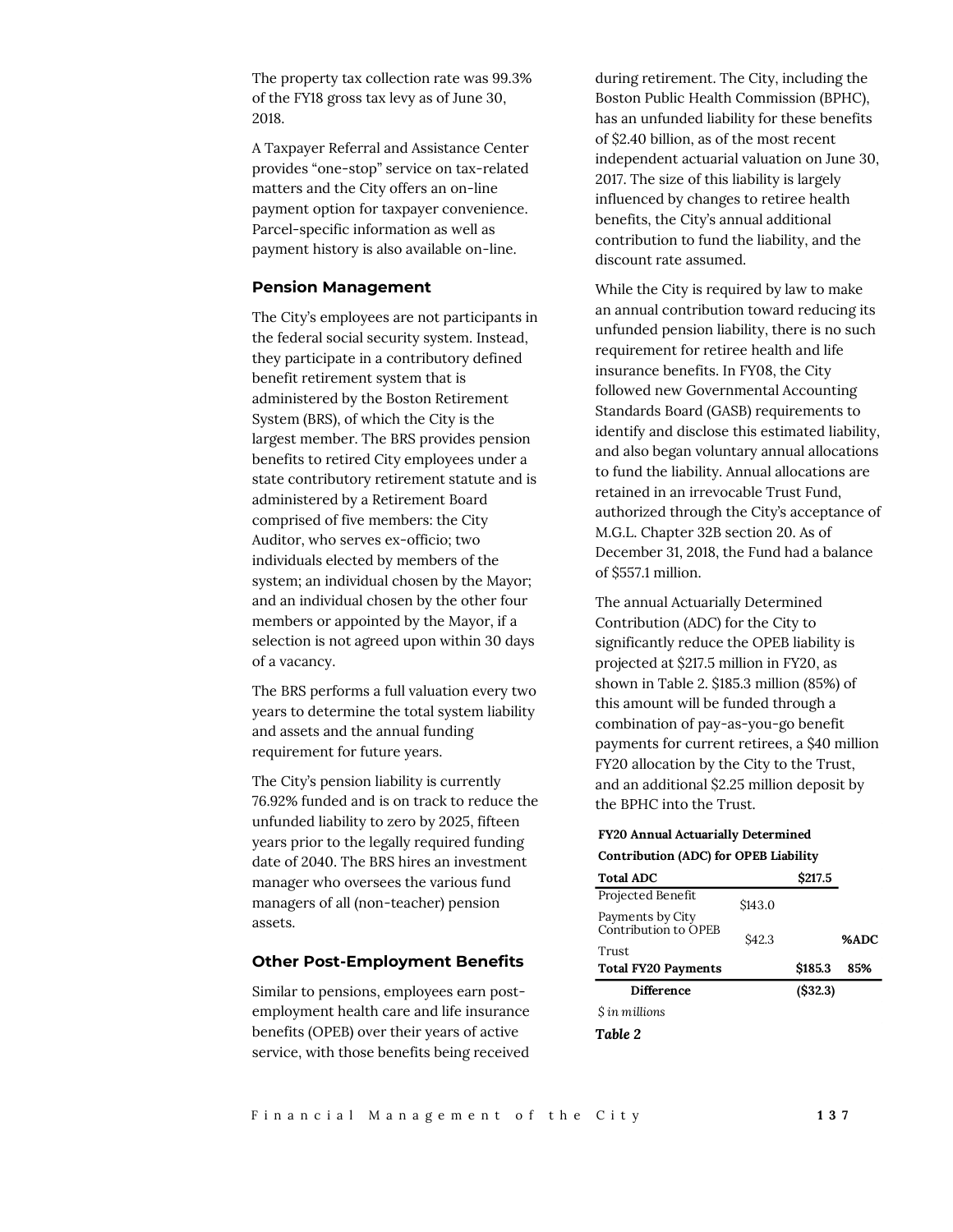The property tax collection rate was 99.3% of the FY18 gross tax levy as of June 30, 2018.

A Taxpayer Referral and Assistance Center provides "one-stop" service on tax-related matters and the City offers an on-line payment option for taxpayer convenience. Parcel-specific information as well as payment history is also available on-line.

#### **Pension Management**

The City's employees are not participants in the federal social security system. Instead, they participate in a contributory defined benefit retirement system that is administered by the Boston Retirement System (BRS), of which the City is the largest member. The BRS provides pension benefits to retired City employees under a state contributory retirement statute and is administered by a Retirement Board comprised of five members: the City Auditor, who serves ex-officio; two individuals elected by members of the system; an individual chosen by the Mayor; and an individual chosen by the other four members or appointed by the Mayor, if a selection is not agreed upon within 30 days of a vacancy.

The BRS performs a full valuation every two years to determine the total system liability and assets and the annual funding requirement for future years.

The City's pension liability is currently 76.92% funded and is on track to reduce the unfunded liability to zero by 2025, fifteen years prior to the legally required funding date of 2040. The BRS hires an investment manager who oversees the various fund managers of all (non-teacher) pension assets.

#### **Other Post-Employment Benefits**

Similar to pensions, employees earn postemployment health care and life insurance benefits (OPEB) over their years of active service, with those benefits being received during retirement. The City, including the Boston Public Health Commission (BPHC), has an unfunded liability for these benefits of \$2.40 billion, as of the most recent independent actuarial valuation on June 30, 2017. The size of this liability is largely influenced by changes to retiree health benefits, the City's annual additional contribution to fund the liability, and the discount rate assumed.

While the City is required by law to make an annual contribution toward reducing its unfunded pension liability, there is no such requirement for retiree health and life insurance benefits. In FY08, the City followed new Governmental Accounting Standards Board (GASB) requirements to identify and disclose this estimated liability, and also began voluntary annual allocations to fund the liability. Annual allocations are retained in an irrevocable Trust Fund, authorized through the City's acceptance of M.G.L. Chapter 32B section 20. As of December 31, 2018, the Fund had a balance of \$557.1 million.

The annual Actuarially Determined Contribution (ADC) for the City to significantly reduce the OPEB liability is projected at \$217.5 million in FY20, as shown in Table 2. \$185.3 million (85%) of this amount will be funded through a combination of pay-as-you-go benefit payments for current retirees, a \$40 million FY20 allocation by the City to the Trust, and an additional \$2.25 million deposit by the BPHC into the Trust.

#### **FY20 Annual Actuarially Determined Contribution (ADC) for OPEB Liability**

| <b>Total ADC</b>           | \$217.5           |         |      |  |  |
|----------------------------|-------------------|---------|------|--|--|
| Projected Benefit          | \$143.0           |         |      |  |  |
| Payments by City           |                   |         |      |  |  |
| Contribution to OPEB       | S <sub>42.3</sub> |         | %ADC |  |  |
| Trust                      |                   |         |      |  |  |
| <b>Total FY20 Payments</b> |                   | \$185.3 | 85%  |  |  |
| <b>Difference</b>          |                   | (S32.3) |      |  |  |
| S in millions              |                   |         |      |  |  |
| Table 2                    |                   |         |      |  |  |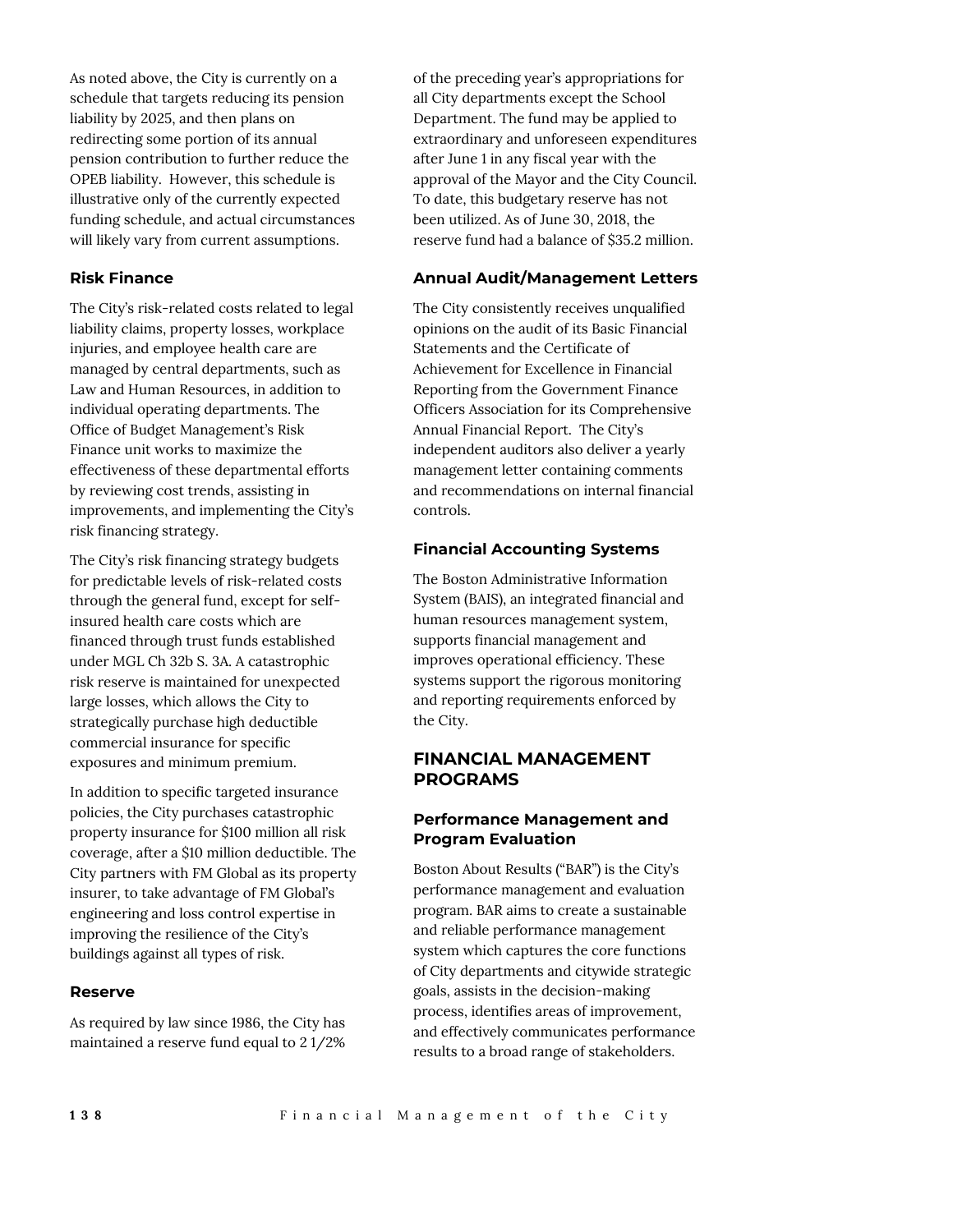As noted above, the City is currently on a schedule that targets reducing its pension liability by 2025, and then plans on redirecting some portion of its annual pension contribution to further reduce the OPEB liability. However, this schedule is illustrative only of the currently expected funding schedule, and actual circumstances will likely vary from current assumptions.

## **Risk Finance**

The City's risk-related costs related to legal liability claims, property losses, workplace injuries, and employee health care are managed by central departments, such as Law and Human Resources, in addition to individual operating departments. The Office of Budget Management's Risk Finance unit works to maximize the effectiveness of these departmental efforts by reviewing cost trends, assisting in improvements, and implementing the City's risk financing strategy.

The City's risk financing strategy budgets for predictable levels of risk-related costs through the general fund, except for selfinsured health care costs which are financed through trust funds established under MGL Ch 32b S. 3A. A catastrophic risk reserve is maintained for unexpected large losses, which allows the City to strategically purchase high deductible commercial insurance for specific exposures and minimum premium.

In addition to specific targeted insurance policies, the City purchases catastrophic property insurance for \$100 million all risk coverage, after a \$10 million deductible. The City partners with FM Global as its property insurer, to take advantage of FM Global's engineering and loss control expertise in improving the resilience of the City's buildings against all types of risk.

#### **Reserve**

As required by law since 1986, the City has maintained a reserve fund equal to 2 1/2% of the preceding year's appropriations for all City departments except the School Department. The fund may be applied to extraordinary and unforeseen expenditures after June 1 in any fiscal year with the approval of the Mayor and the City Council. To date, this budgetary reserve has not been utilized. As of June 30, 2018, the reserve fund had a balance of \$35.2 million.

## **Annual Audit/Management Letters**

The City consistently receives unqualified opinions on the audit of its Basic Financial Statements and the Certificate of Achievement for Excellence in Financial Reporting from the Government Finance Officers Association for its Comprehensive Annual Financial Report. The City's independent auditors also deliver a yearly management letter containing comments and recommendations on internal financial controls.

## **Financial Accounting Systems**

The Boston Administrative Information System (BAIS), an integrated financial and human resources management system, supports financial management and improves operational efficiency. These systems support the rigorous monitoring and reporting requirements enforced by the City.

## **FINANCIAL MANAGEMENT PROGRAMS**

## **Performance Management and Program Evaluation**

Boston About Results ("BAR") is the City's performance management and evaluation program. BAR aims to create a sustainable and reliable performance management system which captures the core functions of City departments and citywide strategic goals, assists in the decision-making process, identifies areas of improvement, and effectively communicates performance results to a broad range of stakeholders.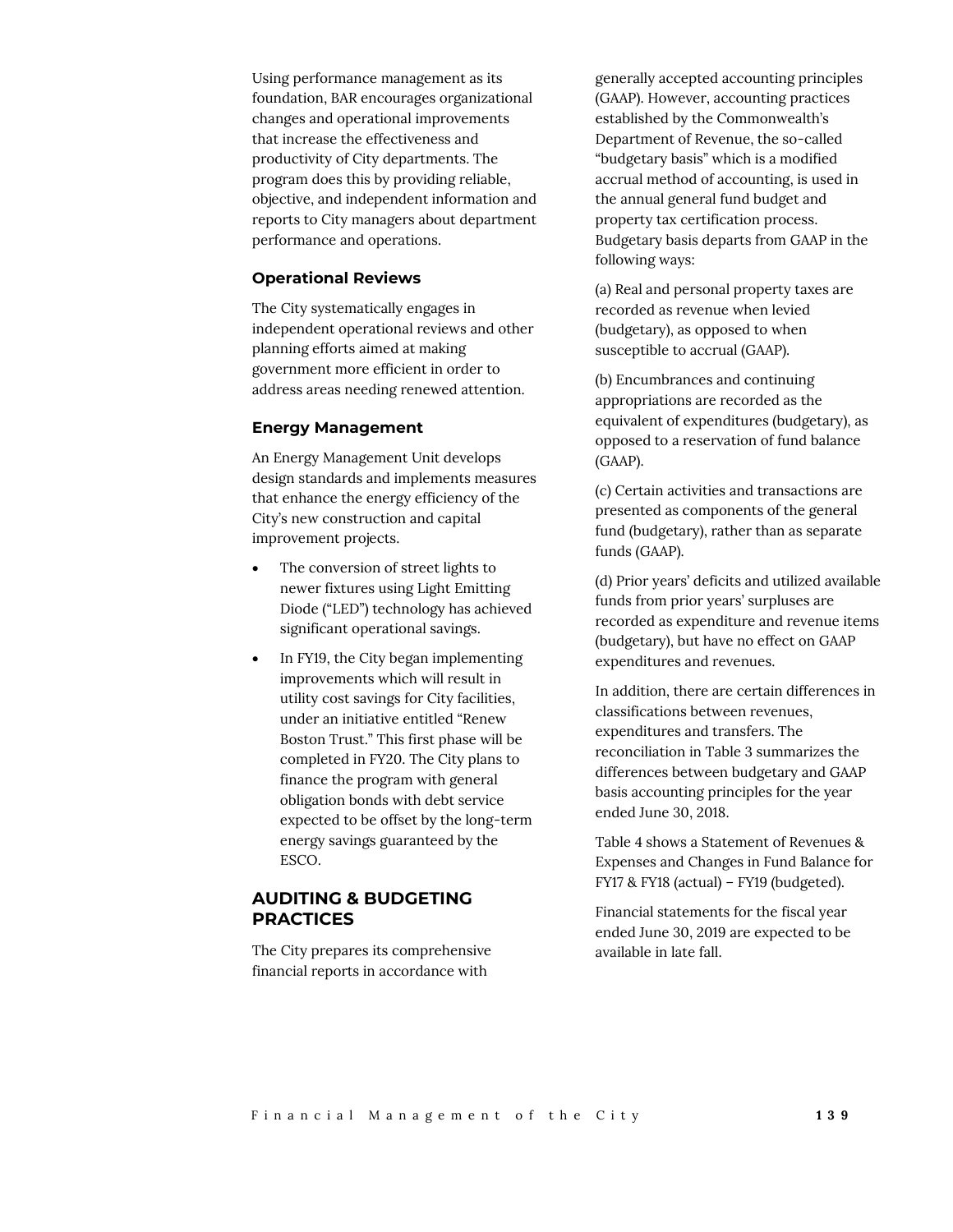Using performance management as its foundation, BAR encourages organizational changes and operational improvements that increase the effectiveness and productivity of City departments. The program does this by providing reliable, objective, and independent information and reports to City managers about department performance and operations.

#### **Operational Reviews**

The City systematically engages in independent operational reviews and other planning efforts aimed at making government more efficient in order to address areas needing renewed attention.

### **Energy Management**

An Energy Management Unit develops design standards and implements measures that enhance the energy efficiency of the City's new construction and capital improvement projects.

- The conversion of street lights to newer fixtures using Light Emitting Diode ("LED") technology has achieved significant operational savings.
- In FY19, the City began implementing improvements which will result in utility cost savings for City facilities, under an initiative entitled "Renew Boston Trust." This first phase will be completed in FY20. The City plans to finance the program with general obligation bonds with debt service expected to be offset by the long-term energy savings guaranteed by the ESCO.

## **AUDITING & BUDGETING PRACTICES**

The City prepares its comprehensive financial reports in accordance with

generally accepted accounting principles (GAAP). However, accounting practices established by the Commonwealth's Department of Revenue, the so-called "budgetary basis" which is a modified accrual method of accounting, is used in the annual general fund budget and property tax certification process. Budgetary basis departs from GAAP in the following ways:

(a) Real and personal property taxes are recorded as revenue when levied (budgetary), as opposed to when susceptible to accrual (GAAP).

(b) Encumbrances and continuing appropriations are recorded as the equivalent of expenditures (budgetary), as opposed to a reservation of fund balance (GAAP).

(c) Certain activities and transactions are presented as components of the general fund (budgetary), rather than as separate funds (GAAP).

(d) Prior years' deficits and utilized available funds from prior years' surpluses are recorded as expenditure and revenue items (budgetary), but have no effect on GAAP expenditures and revenues.

In addition, there are certain differences in classifications between revenues, expenditures and transfers. The reconciliation in Table 3 summarizes the differences between budgetary and GAAP basis accounting principles for the year ended June 30, 2018.

Table 4 shows a Statement of Revenues & Expenses and Changes in Fund Balance for FY17 & FY18 (actual) – FY19 (budgeted).

Financial statements for the fiscal year ended June 30, 2019 are expected to be available in late fall.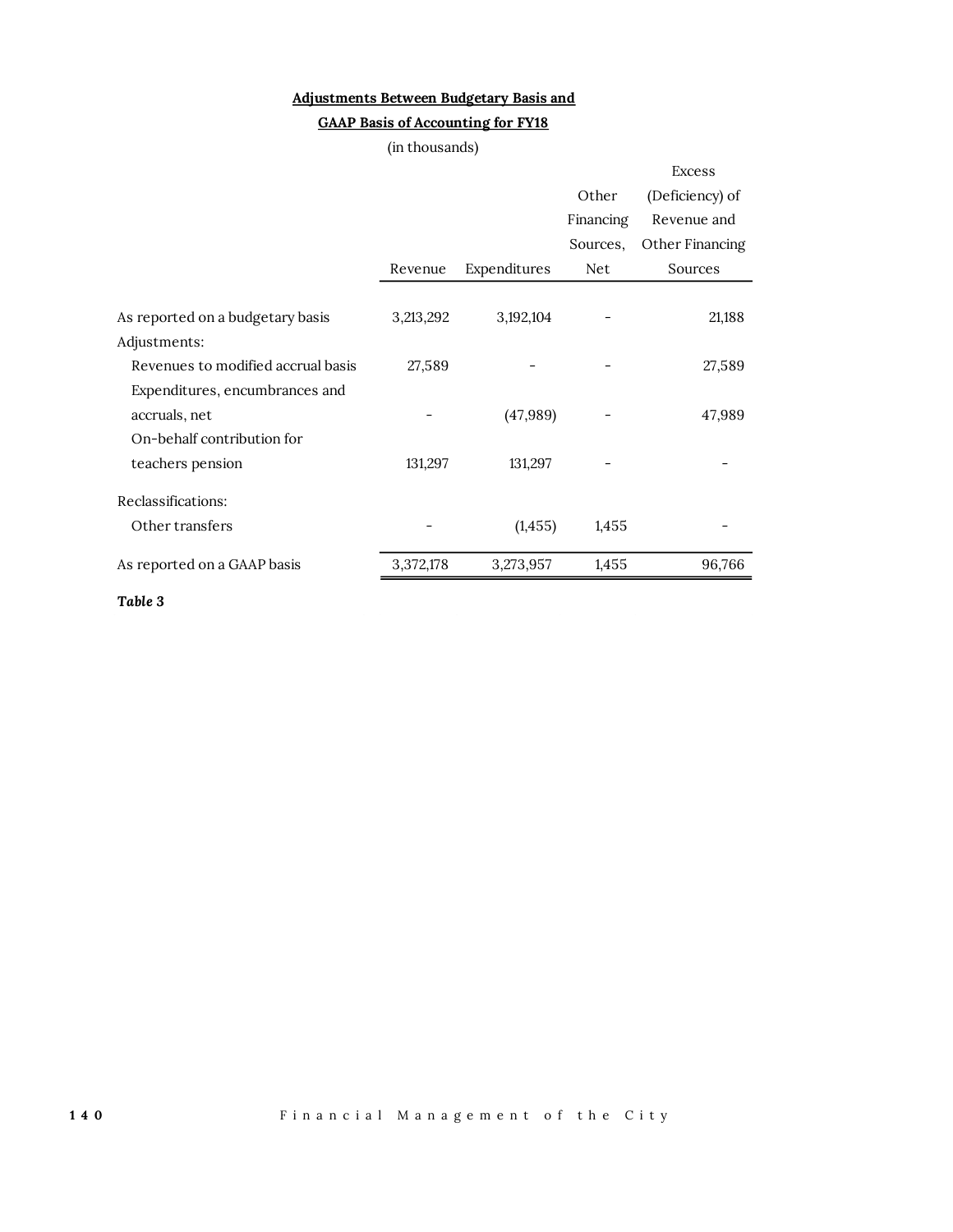## **Adjustments Between Budgetary Basis and**

## **GAAP Basis of Accounting for FY18**

|                                    | (in thousands) |              |           |                 |
|------------------------------------|----------------|--------------|-----------|-----------------|
|                                    |                |              |           | <b>Excess</b>   |
|                                    |                |              | Other     | (Deficiency) of |
|                                    |                |              | Financing | Revenue and     |
|                                    |                |              | Sources,  | Other Financing |
|                                    | Revenue        | Expenditures | Net       | Sources         |
|                                    |                |              |           |                 |
| As reported on a budgetary basis   | 3,213,292      | 3,192,104    |           | 21,188          |
| Adjustments:                       |                |              |           |                 |
| Revenues to modified accrual basis | 27,589         |              |           | 27,589          |
| Expenditures, encumbrances and     |                |              |           |                 |
| accruals, net                      |                | (47, 989)    |           | 47,989          |
| On-behalf contribution for         |                |              |           |                 |
| teachers pension                   | 131,297        | 131,297      |           |                 |
| Reclassifications:                 |                |              |           |                 |
| Other transfers                    |                | (1, 455)     | 1,455     |                 |
| As reported on a GAAP basis        | 3,372,178      | 3,273,957    | 1,455     | 96,766          |
| Table 3                            |                |              |           |                 |

**1 4 0** F i n a n c i a l M a n a g e m e n t o f t h e C i t y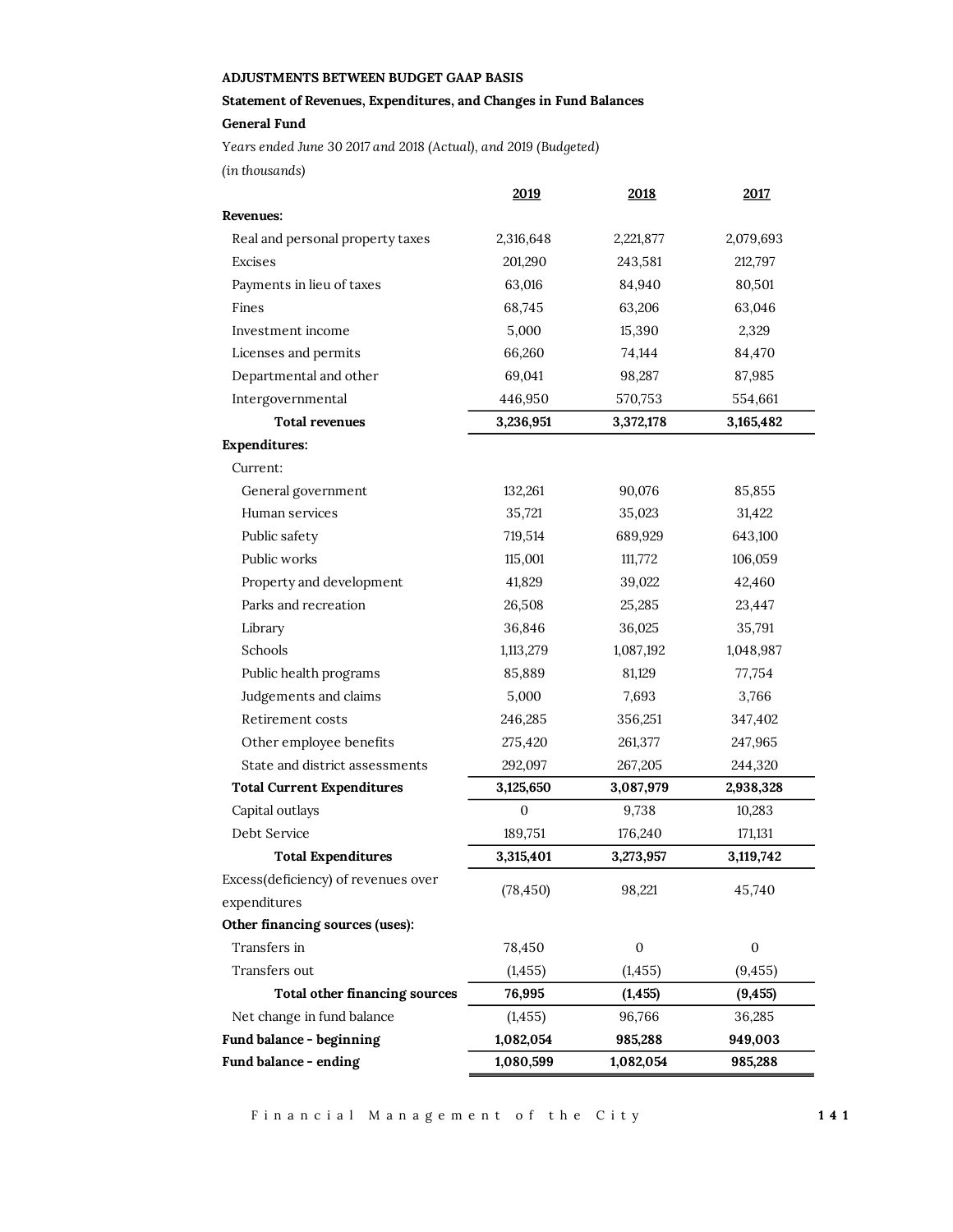## **ADJUSTMENTS BETWEEN BUDGET GAAP BASIS**

**Statement of Revenues, Expenditures, and Changes in Fund Balances General Fund**

*(in thousands) Years ended June 30 2017 and 2018 (Actual), and 2019 (Budgeted)*

|                                     | 2019         | 2018             | <u>2017</u>      |
|-------------------------------------|--------------|------------------|------------------|
| <b>Revenues:</b>                    |              |                  |                  |
| Real and personal property taxes    | 2,316,648    | 2,221,877        | 2,079,693        |
| Excises                             | 201,290      | 243,581          | 212,797          |
| Payments in lieu of taxes           | 63,016       | 84,940           | 80,501           |
| Fines                               | 68,745       | 63,206           | 63,046           |
| Investment income                   | 5,000        | 15,390           | 2,329            |
| Licenses and permits                | 66,260       | 74,144           | 84,470           |
| Departmental and other              | 69,041       | 98,287           | 87,985           |
| Intergovernmental                   | 446,950      | 570,753          | 554,661          |
| <b>Total revenues</b>               | 3,236,951    | 3,372,178        | 3,165,482        |
| <b>Expenditures:</b>                |              |                  |                  |
| Current:                            |              |                  |                  |
| General government                  | 132,261      | 90,076           | 85,855           |
| Human services                      | 35,721       | 35,023           | 31,422           |
| Public safety                       | 719,514      | 689,929          | 643,100          |
| Public works                        | 115,001      | 111,772          | 106,059          |
| Property and development            | 41,829       | 39,022           | 42,460           |
| Parks and recreation                | 26,508       | 25,285           | 23,447           |
| Library                             | 36,846       | 36,025           | 35,791           |
| Schools                             | 1,113,279    | 1,087,192        | 1,048,987        |
| Public health programs              | 85,889       | 81,129           | 77,754           |
| Judgements and claims               | 5,000        | 7,693            | 3,766            |
| Retirement costs                    | 246,285      | 356,251          | 347,402          |
| Other employee benefits             | 275,420      | 261,377          | 247,965          |
| State and district assessments      | 292,097      | 267,205          | 244,320          |
| <b>Total Current Expenditures</b>   | 3,125,650    | 3,087,979        | 2,938,328        |
| Capital outlays                     | $\mathbf{0}$ | 9,738            | 10,283           |
| Debt Service                        | 189,751      | 176,240          | 171,131          |
| <b>Total Expenditures</b>           | 3,315,401    | 3,273,957        | 3,119,742        |
| Excess(deficiency) of revenues over | (78, 450)    | 98,221           | 45,740           |
| expenditures                        |              |                  |                  |
| Other financing sources (uses):     |              |                  |                  |
| Transfers in                        | 78,450       | $\boldsymbol{0}$ | $\boldsymbol{0}$ |
| Transfers out                       | (1, 455)     | (1, 455)         | (9, 455)         |
| Total other financing sources       | 76,995       | (1, 455)         | (9, 455)         |
| Net change in fund balance          | (1, 455)     | 96,766           | 36,285           |
| Fund balance - beginning            | 1,082,054    | 985,288          | 949,003          |
| Fund balance - ending               | 1,080,599    | 1,082,054        | 985,288          |

Financial Management of the City **141**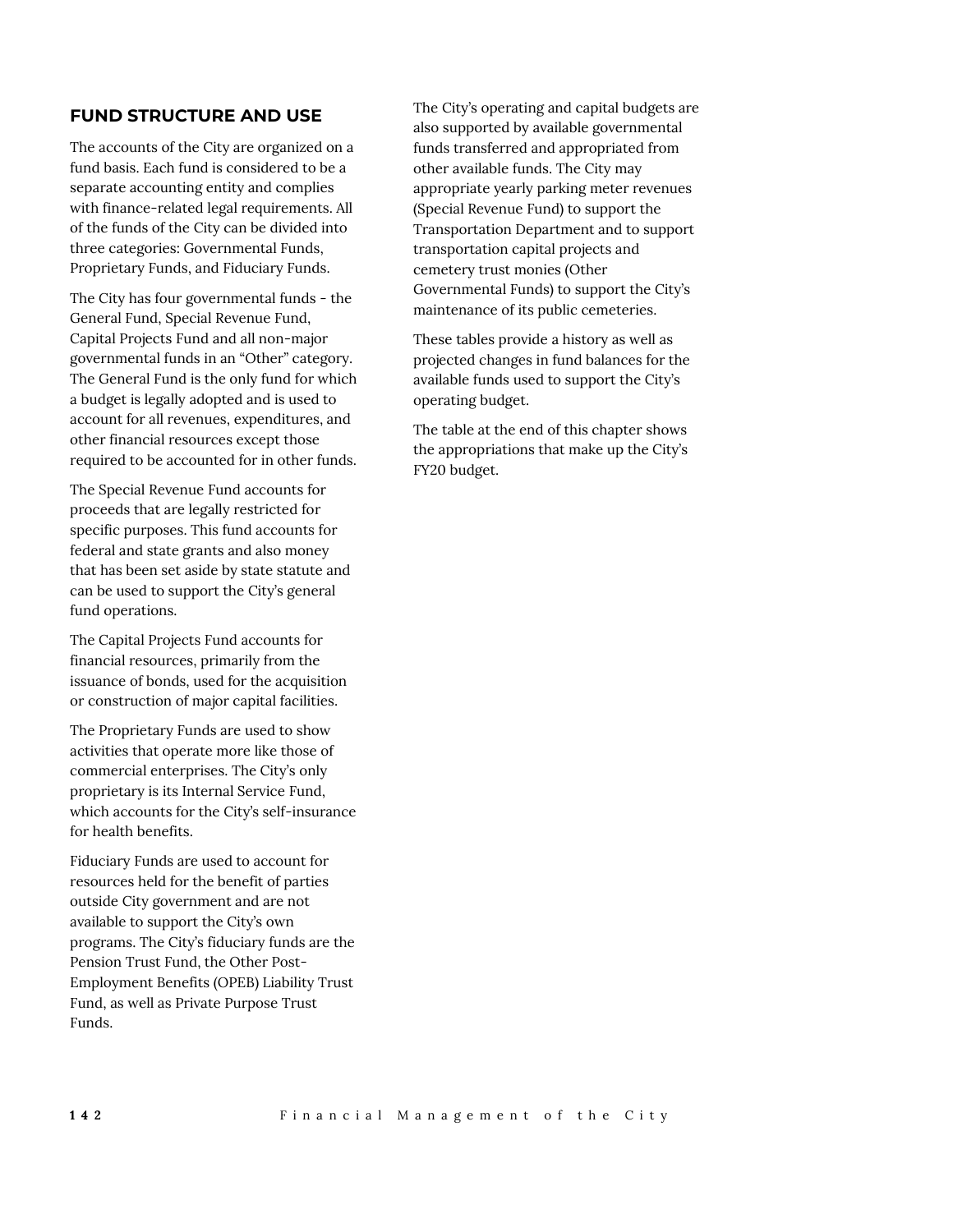## **FUND STRUCTURE AND USE**

The accounts of the City are organized on a fund basis. Each fund is considered to be a separate accounting entity and complies with finance-related legal requirements. All of the funds of the City can be divided into three categories: Governmental Funds, Proprietary Funds, and Fiduciary Funds.

The City has four governmental funds - the General Fund, Special Revenue Fund, Capital Projects Fund and all non-major governmental funds in an "Other" category. The General Fund is the only fund for which a budget is legally adopted and is used to account for all revenues, expenditures, and other financial resources except those required to be accounted for in other funds.

The Special Revenue Fund accounts for proceeds that are legally restricted for specific purposes. This fund accounts for federal and state grants and also money that has been set aside by state statute and can be used to support the City's general fund operations.

The Capital Projects Fund accounts for financial resources, primarily from the issuance of bonds, used for the acquisition or construction of major capital facilities.

The Proprietary Funds are used to show activities that operate more like those of commercial enterprises. The City's only proprietary is its Internal Service Fund, which accounts for the City's self-insurance for health benefits.

Fiduciary Funds are used to account for resources held for the benefit of parties outside City government and are not available to support the City's own programs. The City's fiduciary funds are the Pension Trust Fund, the Other Post-Employment Benefits (OPEB) Liability Trust Fund, as well as Private Purpose Trust Funds.

The City's operating and capital budgets are also supported by available governmental funds transferred and appropriated from other available funds. The City may appropriate yearly parking meter revenues (Special Revenue Fund) to support the Transportation Department and to support transportation capital projects and cemetery trust monies (Other Governmental Funds) to support the City's maintenance of its public cemeteries.

These tables provide a history as well as projected changes in fund balances for the available funds used to support the City's operating budget.

The table at the end of this chapter shows the appropriations that make up the City's FY20 budget.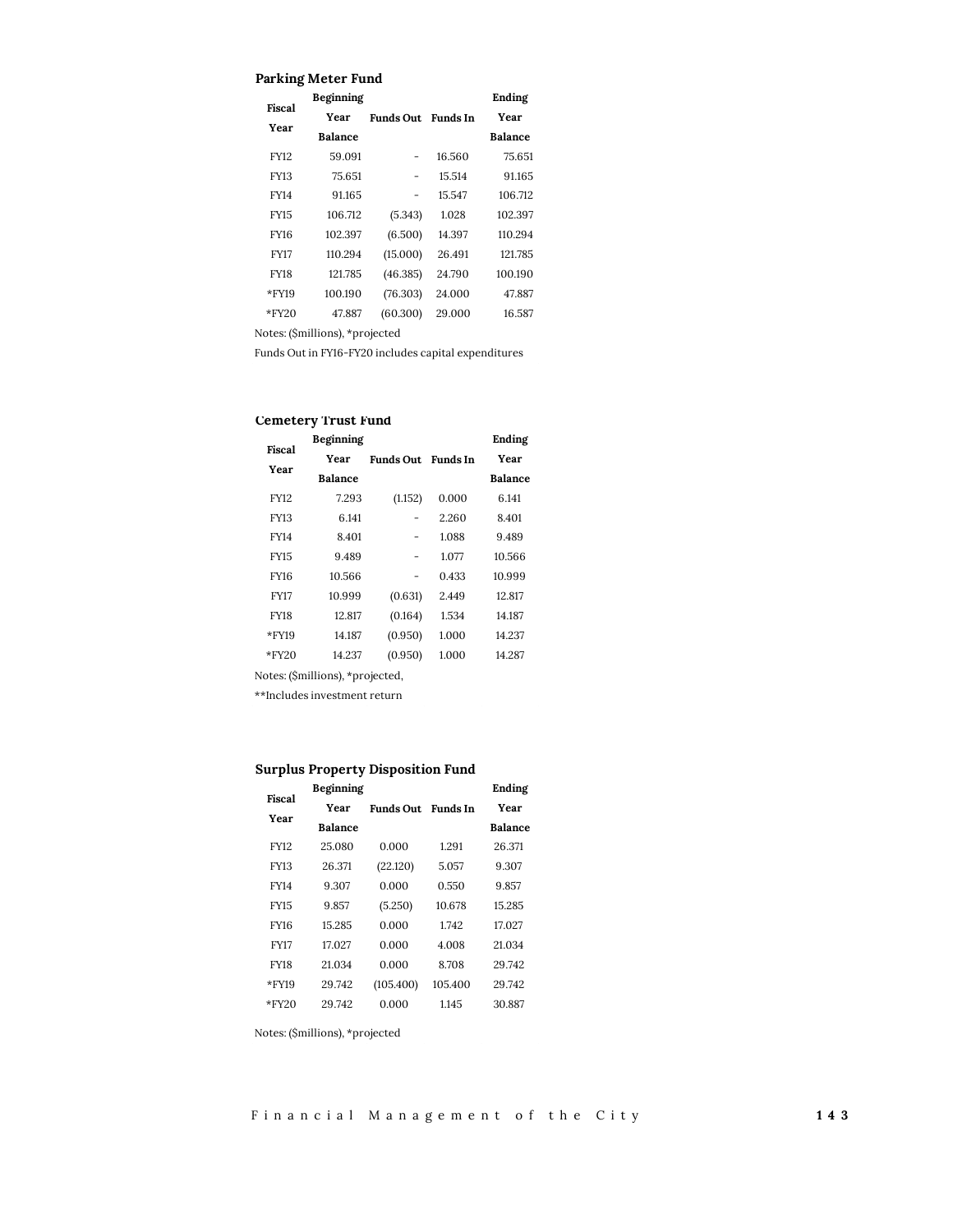#### **Parking Meter Fund**

| Fiscal      | Beginning      |                  |                 | Ending         |
|-------------|----------------|------------------|-----------------|----------------|
| Year        | Year           | <b>Funds Out</b> | <b>Funds</b> In | Year           |
|             | <b>Balance</b> |                  |                 | <b>Balance</b> |
| FY12        | 59.091         |                  | 16.560          | 75.651         |
| FY13        | 75.651         |                  | 15.514          | 91.165         |
| FY14        | 91.165         |                  | 15.547          | 106.712        |
| <b>FY15</b> | 106.712        | (5.343)          | 1.028           | 102.397        |
| FY16        | 102.397        | (6.500)          | 14.397          | 110.294        |
| <b>FY17</b> | 110.294        | (15.000)         | 26.491          | 121.785        |
| FY18        | 121.785        | (46.385)         | 24.790          | 100.190        |
| *FY19       | 100.190        | (76.303)         | 24.000          | 47.887         |
| $*$ FY20    | 47.887         | (60.300)         | 29.000          | 16.587         |

Notes: (\$millions), \*projected

Funds Out in FY16-FY20 includes capital expenditures

## **Cemetery Trust Fund**

| Fiscal      | Beginning      |                  |          | Ending         |
|-------------|----------------|------------------|----------|----------------|
| Year        | Year           | <b>Funds Out</b> | Funds In | Year           |
|             | <b>Balance</b> |                  |          | <b>Balance</b> |
| <b>FY12</b> | 7.293          | (1.152)          | 0.000    | 6.141          |
| FY13        | 6.141          |                  | 2.260    | 8.401          |
| FY14        | 8.401          |                  | 1.088    | 9.489          |
| <b>FY15</b> | 9.489          |                  | 1.077    | 10.566         |
| FY16        | 10.566         |                  | 0.433    | 10.999         |
| <b>FY17</b> | 10.999         | (0.631)          | 2.449    | 12.817         |
| FY18        | 12.817         | (0.164)          | 1.534    | 14.187         |
| *FY19       | 14.187         | (0.950)          | 1.000    | 14.237         |
| $*$ FY20    | 14.237         | (0.950)          | 1.000    | 14.287         |

Notes: (\$millions), \*projected,

\*\*Includes investment return

## **Surplus Property Disposition Fund**

| Fiscal      | Beginning      |           |          | Ending         |
|-------------|----------------|-----------|----------|----------------|
|             | Year           | Funds Out | Funds In | Year           |
| Year        | <b>Balance</b> |           |          | <b>Balance</b> |
| FY12        | 25.080         | 0.000     | 1.291    | 26.371         |
| FY13        | 26.371         | (22.120)  | 5.057    | 9.307          |
| FY14        | 9.307          | 0.000     | 0.550    | 9.857          |
| <b>FY15</b> | 9.857          | (5.250)   | 10.678   | 15.285         |
| FY16        | 15 285         | 0.000     | 1742     | 17.027         |
| <b>FY17</b> | 17.027         | 0.000     | 4.008    | 21.034         |
| FY18        | 21.034         | 0.000     | 8.708    | 29.742         |
| $*$ FY19    | 29.742         | (105.400) | 105.400  | 29.742         |
| $*$ FY20    | 29 742         | 0.000     | 1145     | 30.887         |

Notes: (\$millions), \*projected

F i n a n c i a l M a n a g e m e n t o f t h e C i t y **1 4 3**

 $\mathcal{L}^{\text{eff}}$ 

 $\mathcal{L}^{\text{max}}_{\text{max}}$  and  $\mathcal{L}^{\text{max}}_{\text{max}}$